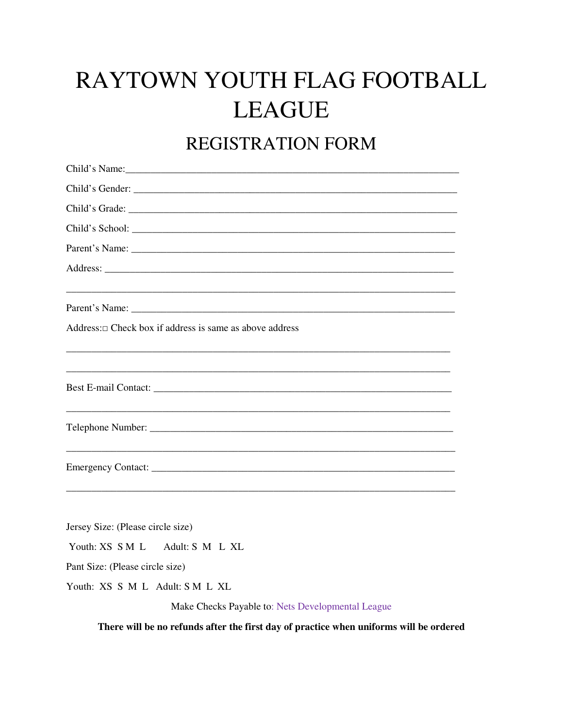# RAYTOWN YOUTH FLAG FOOTBALL **LEAGUE**

## REGISTRATION FORM

| Child's Gender:                                               |
|---------------------------------------------------------------|
|                                                               |
|                                                               |
|                                                               |
|                                                               |
|                                                               |
| Address: $\Box$ Check box if address is same as above address |
|                                                               |
|                                                               |
|                                                               |
| Jersey Size: (Please circle size)                             |
| Youth: XS S M L Adult: S M L XL                               |
| Pant Size: (Please circle size)                               |
| Youth: XS S M L Adult: S M L XL                               |
| Make Checks Payable to: Nets Developmental League             |

There will be no refunds after the first day of practice when uniforms will be ordered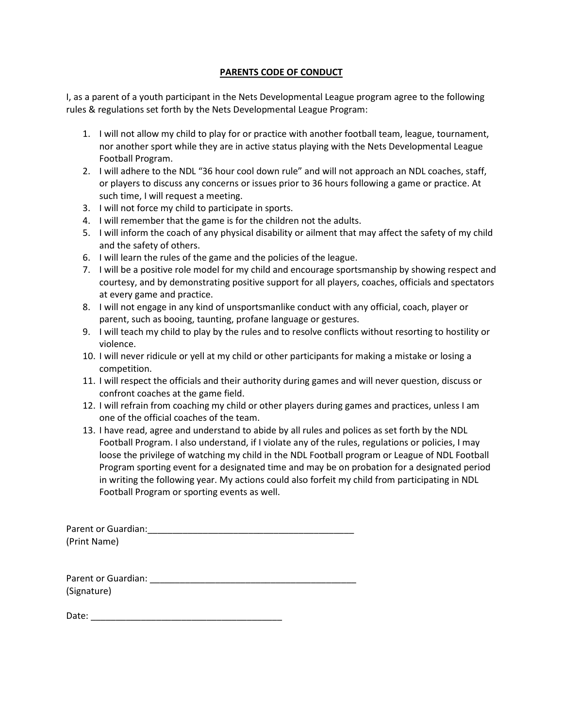#### **PARENTS CODE OF CONDUCT**

I, as a parent of a youth participant in the Nets Developmental League program agree to the following rules & regulations set forth by the Nets Developmental League Program:

- 1. I will not allow my child to play for or practice with another football team, league, tournament, nor another sport while they are in active status playing with the Nets Developmental League Football Program.
- 2. I will adhere to the NDL "36 hour cool down rule" and will not approach an NDL coaches, staff, or players to discuss any concerns or issues prior to 36 hours following a game or practice. At such time, I will request a meeting.
- 3. I will not force my child to participate in sports.
- 4. I will remember that the game is for the children not the adults.
- 5. I will inform the coach of any physical disability or ailment that may affect the safety of my child and the safety of others.
- 6. I will learn the rules of the game and the policies of the league.
- 7. I will be a positive role model for my child and encourage sportsmanship by showing respect and courtesy, and by demonstrating positive support for all players, coaches, officials and spectators at every game and practice.
- 8. I will not engage in any kind of unsportsmanlike conduct with any official, coach, player or parent, such as booing, taunting, profane language or gestures.
- 9. I will teach my child to play by the rules and to resolve conflicts without resorting to hostility or violence.
- 10. I will never ridicule or yell at my child or other participants for making a mistake or losing a competition.
- 11. I will respect the officials and their authority during games and will never question, discuss or confront coaches at the game field.
- 12. I will refrain from coaching my child or other players during games and practices, unless I am one of the official coaches of the team.
- 13. I have read, agree and understand to abide by all rules and polices as set forth by the NDL Football Program. I also understand, if I violate any of the rules, regulations or policies, I may loose the privilege of watching my child in the NDL Football program or League of NDL Football Program sporting event for a designated time and may be on probation for a designated period in writing the following year. My actions could also forfeit my child from participating in NDL Football Program or sporting events as well.

Parent or Guardian:\_\_\_\_\_\_\_\_\_\_\_\_\_\_\_\_\_\_\_\_\_\_\_\_\_\_\_\_\_\_\_\_\_\_\_\_\_\_\_\_\_ (Print Name)

| Parent or Guardian: |  |
|---------------------|--|
| (Signature)         |  |

| Date: |  |  |
|-------|--|--|
|       |  |  |
|       |  |  |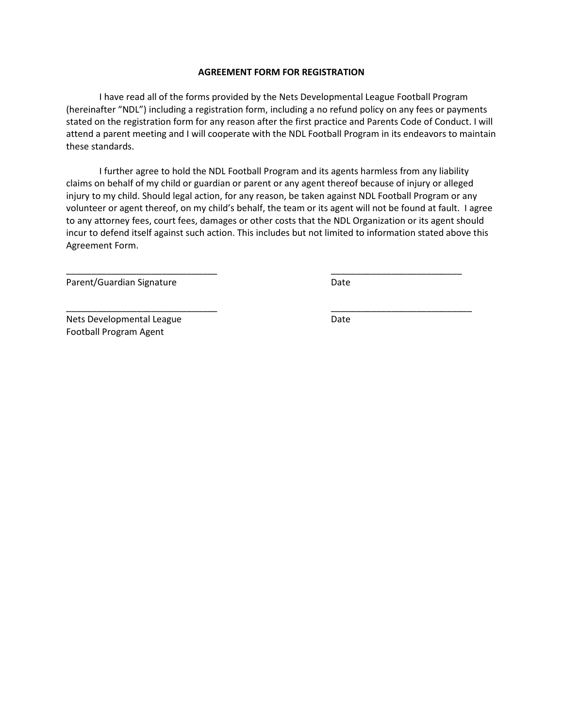#### **AGREEMENT FORM FOR REGISTRATION**

I have read all of the forms provided by the Nets Developmental League Football Program (hereinafter "NDL") including a registration form, including a no refund policy on any fees or payments stated on the registration form for any reason after the first practice and Parents Code of Conduct. I will attend a parent meeting and I will cooperate with the NDL Football Program in its endeavors to maintain these standards.

I further agree to hold the NDL Football Program and its agents harmless from any liability claims on behalf of my child or guardian or parent or any agent thereof because of injury or alleged injury to my child. Should legal action, for any reason, be taken against NDL Football Program or any volunteer or agent thereof, on my child's behalf, the team or its agent will not be found at fault. I agree to any attorney fees, court fees, damages or other costs that the NDL Organization or its agent should incur to defend itself against such action. This includes but not limited to information stated above this Agreement Form.

\_\_\_\_\_\_\_\_\_\_\_\_\_\_\_\_\_\_\_\_\_\_\_\_\_\_\_\_\_\_ \_\_\_\_\_\_\_\_\_\_\_\_\_\_\_\_\_\_\_\_\_\_\_\_\_\_

\_\_\_\_\_\_\_\_\_\_\_\_\_\_\_\_\_\_\_\_\_\_\_\_\_\_\_\_\_\_ \_\_\_\_\_\_\_\_\_\_\_\_\_\_\_\_\_\_\_\_\_\_\_\_\_\_\_\_

Parent/Guardian Signature Date

Nets Developmental League Date Date Football Program Agent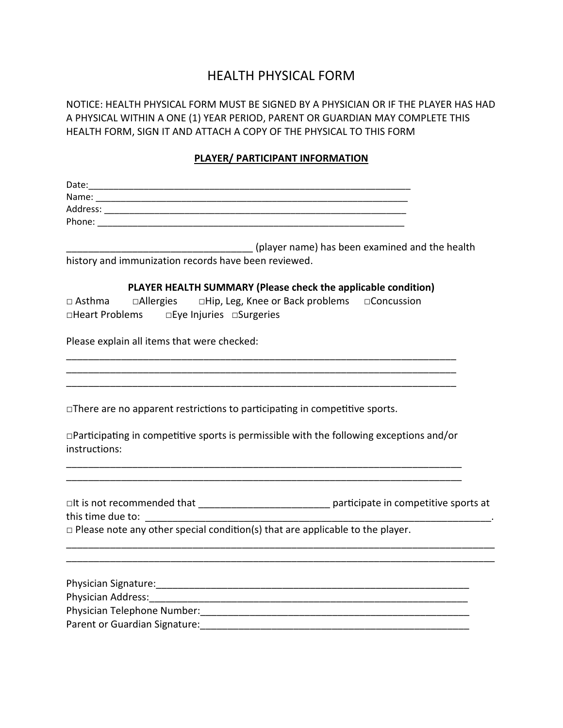### HEALTH PHYSICAL FORM

NOTICE: HEALTH PHYSICAL FORM MUST BE SIGNED BY A PHYSICIAN OR IF THE PLAYER HAS HAD A PHYSICAL WITHIN A ONE (1) YEAR PERIOD, PARENT OR GUARDIAN MAY COMPLETE THIS HEALTH FORM, SIGN IT AND ATTACH A COPY OF THE PHYSICAL TO THIS FORM

#### **PLAYER/ PARTICIPANT INFORMATION**

| ________ (player name) has been examined and the health                                                                                             |
|-----------------------------------------------------------------------------------------------------------------------------------------------------|
| history and immunization records have been reviewed.                                                                                                |
| PLAYER HEALTH SUMMARY (Please check the applicable condition)                                                                                       |
|                                                                                                                                                     |
|                                                                                                                                                     |
| Please explain all items that were checked:                                                                                                         |
|                                                                                                                                                     |
|                                                                                                                                                     |
| $\Box$ There are no apparent restrictions to participating in competitive sports.                                                                   |
|                                                                                                                                                     |
| $\Box$ Participating in competitive sports is permissible with the following exceptions and/or<br>instructions:                                     |
|                                                                                                                                                     |
|                                                                                                                                                     |
| □It is not recommended that _________________________________ participate in competitive sports at<br>this time due to: ___________________________ |
| $\Box$ Please note any other special condition(s) that are applicable to the player.                                                                |
|                                                                                                                                                     |
|                                                                                                                                                     |
|                                                                                                                                                     |
|                                                                                                                                                     |
| Parent or Guardian Signature: The Contract of the Contract of the Contract of the Contract of the Contract of                                       |
|                                                                                                                                                     |